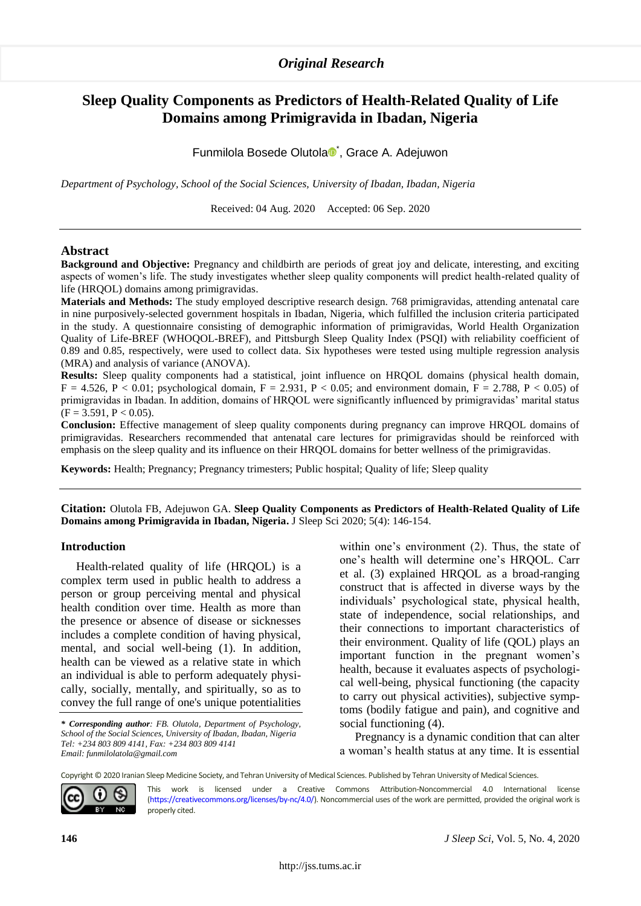# *Original Research*

# **Sleep Quality Components as Predictors of Health-Related Quality of Life Domains among Primigravida in Ibadan, Nigeria**

Funmilola Bosede Olutola<sup>n</sup>, Grace A. Adejuwon

*Department of Psychology, School of the Social Sciences, University of Ibadan, Ibadan, Nigeria*

Received: 04 Aug. 2020 Accepted: 06 Sep. 2020

#### **Abstract**

**Background and Objective:** Pregnancy and childbirth are periods of great joy and delicate, interesting, and exciting aspects of women's life. The study investigates whether sleep quality components will predict health-related quality of life (HRQOL) domains among primigravidas.

**Materials and Methods:** The study employed descriptive research design. 768 primigravidas, attending antenatal care in nine purposively-selected government hospitals in Ibadan, Nigeria, which fulfilled the inclusion criteria participated in the study. A questionnaire consisting of demographic information of primigravidas, World Health Organization Quality of Life-BREF (WHOQOL-BREF), and Pittsburgh Sleep Quality Index (PSQI) with reliability coefficient of 0.89 and 0.85, respectively, were used to collect data. Six hypotheses were tested using multiple regression analysis (MRA) and analysis of variance (ANOVA).

**Results:** Sleep quality components had a statistical, joint influence on HRQOL domains (physical health domain,  $F = 4.526$ ,  $P < 0.01$ ; psychological domain,  $F = 2.931$ ,  $P < 0.05$ ; and environment domain,  $F = 2.788$ ,  $P < 0.05$ ) of primigravidas in Ibadan. In addition, domains of HRQOL were significantly influenced by primigravidas' marital status  $(F = 3.591, P < 0.05)$ .

**Conclusion:** Effective management of sleep quality components during pregnancy can improve HRQOL domains of primigravidas. Researchers recommended that antenatal care lectures for primigravidas should be reinforced with emphasis on the sleep quality and its influence on their HRQOL domains for better wellness of the primigravidas.

**Keywords:** Health; Pregnancy; Pregnancy trimesters; Public hospital; Quality of life; Sleep quality

**Citation:** Olutola FB, Adejuwon GA. **Sleep Quality Components as Predictors of Health-Related Quality of Life Domains among Primigravida in Ibadan, Nigeria.** J Sleep Sci 2020; 5(4): 146-154.

#### **Introduction**

Health-related quality of life (HRQOL) is a complex term used in public health to address a person or group perceiving mental and physical health condition over time. Health as more than the presence or absence of disease or sicknesses includes a complete condition of having physical, mental, and social well-being (1). In addition, health can be viewed as a relative state in which an individual is able to perform adequately physically, socially, mentally, and spiritually, so as to convey the full range of one's unique potentialities

*\** 1*Corresponding author: FB. Olutola, Department of Psychology, School of the Social Sciences, University of Ibadan, Ibadan, Nigeria Tel: +234 803 809 4141, Fax: +234 803 809 4141 Email: funmilolatola@gmail.com*

within one's environment (2). Thus, the state of one's health will determine one's HRQOL. Carr et al. (3) explained HRQOL as a broad-ranging construct that is affected in diverse ways by the individuals' psychological state, physical health, state of independence, social relationships, and their connections to important characteristics of their environment. Quality of life (QOL) plays an important function in the pregnant women's health, because it evaluates aspects of psychological well-being, physical functioning (the capacity to carry out physical activities), subjective symptoms (bodily fatigue and pain), and cognitive and social functioning (4).

Pregnancy is a dynamic condition that can alter a woman's health status at any time. It is essential

Copyright © 2020 Iranian Sleep Medicine Society, and Tehran University of Medical Sciences. Published by Tehran University of Medical Sciences.



This work is licensed under a Creative Commons Attribution-Noncommercial 4.0 International license [\(https://creativecommons.org/licenses/by-nc/4.0/\).](https://creativecommons.org/licenses/by-nc/4.0/) Noncommercial uses of the work are permitted, provided the original work is properly cited.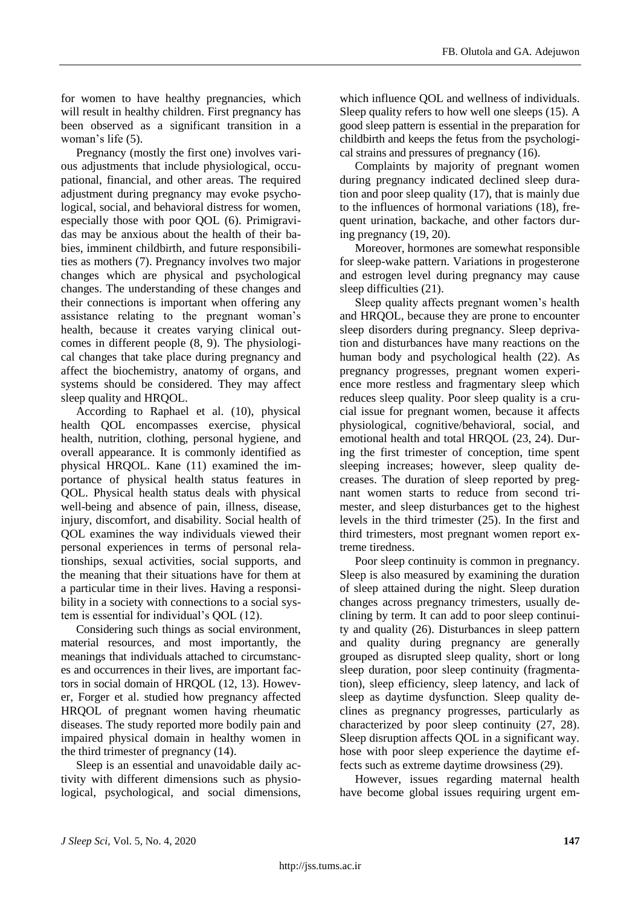for women to have healthy pregnancies, which will result in healthy children. First pregnancy has been observed as a significant transition in a woman's life (5).

Pregnancy (mostly the first one) involves various adjustments that include physiological, occupational, financial, and other areas. The required adjustment during pregnancy may evoke psychological, social, and behavioral distress for women, especially those with poor QOL (6). Primigravidas may be anxious about the health of their babies, imminent childbirth, and future responsibilities as mothers (7). Pregnancy involves two major changes which are physical and psychological changes. The understanding of these changes and their connections is important when offering any assistance relating to the pregnant woman's health, because it creates varying clinical outcomes in different people (8, 9). The physiological changes that take place during pregnancy and affect the biochemistry, anatomy of organs, and systems should be considered. They may affect sleep quality and HRQOL.

According to Raphael et al. (10), physical health QOL encompasses exercise, physical health, nutrition, clothing, personal hygiene, and overall appearance. It is commonly identified as physical HRQOL. Kane (11) examined the importance of physical health status features in QOL. Physical health status deals with physical well-being and absence of pain, illness, disease, injury, discomfort, and disability. Social health of QOL examines the way individuals viewed their personal experiences in terms of personal relationships, sexual activities, social supports, and the meaning that their situations have for them at a particular time in their lives. Having a responsibility in a society with connections to a social system is essential for individual's QOL (12).

Considering such things as social environment, material resources, and most importantly, the meanings that individuals attached to circumstances and occurrences in their lives, are important factors in social domain of HRQOL (12, 13). However, Forger et al. studied how pregnancy affected HRQOL of pregnant women having rheumatic diseases. The study reported more bodily pain and impaired physical domain in healthy women in the third trimester of pregnancy (14).

Sleep is an essential and unavoidable daily activity with different dimensions such as physiological, psychological, and social dimensions, which influence QOL and wellness of individuals. Sleep quality refers to how well one sleeps (15). A good sleep pattern is essential in the preparation for childbirth and keeps the fetus from the psychological strains and pressures of pregnancy (16).

Complaints by majority of pregnant women during pregnancy indicated declined sleep duration and poor sleep quality (17), that is mainly due to the influences of hormonal variations (18), frequent urination, backache, and other factors during pregnancy (19, 20).

Moreover, hormones are somewhat responsible for sleep-wake pattern. Variations in progesterone and estrogen level during pregnancy may cause sleep difficulties (21).

Sleep quality affects pregnant women's health and HRQOL, because they are prone to encounter sleep disorders during pregnancy. Sleep deprivation and disturbances have many reactions on the human body and psychological health (22). As pregnancy progresses, pregnant women experience more restless and fragmentary sleep which reduces sleep quality. Poor sleep quality is a crucial issue for pregnant women, because it affects physiological, cognitive/behavioral, social, and emotional health and total HRQOL (23, 24). During the first trimester of conception, time spent sleeping increases; however, sleep quality decreases. The duration of sleep reported by pregnant women starts to reduce from second trimester, and sleep disturbances get to the highest levels in the third trimester (25). In the first and third trimesters, most pregnant women report extreme tiredness.

Poor sleep continuity is common in pregnancy. Sleep is also measured by examining the duration of sleep attained during the night. Sleep duration changes across pregnancy trimesters, usually declining by term. It can add to poor sleep continuity and quality (26). Disturbances in sleep pattern and quality during pregnancy are generally grouped as disrupted sleep quality, short or long sleep duration, poor sleep continuity (fragmentation), sleep efficiency, sleep latency, and lack of sleep as daytime dysfunction. Sleep quality declines as pregnancy progresses, particularly as characterized by poor sleep continuity (27, 28). Sleep disruption affects QOL in a significant way. hose with poor sleep experience the daytime effects such as extreme daytime drowsiness (29).

However, issues regarding maternal health have become global issues requiring urgent em-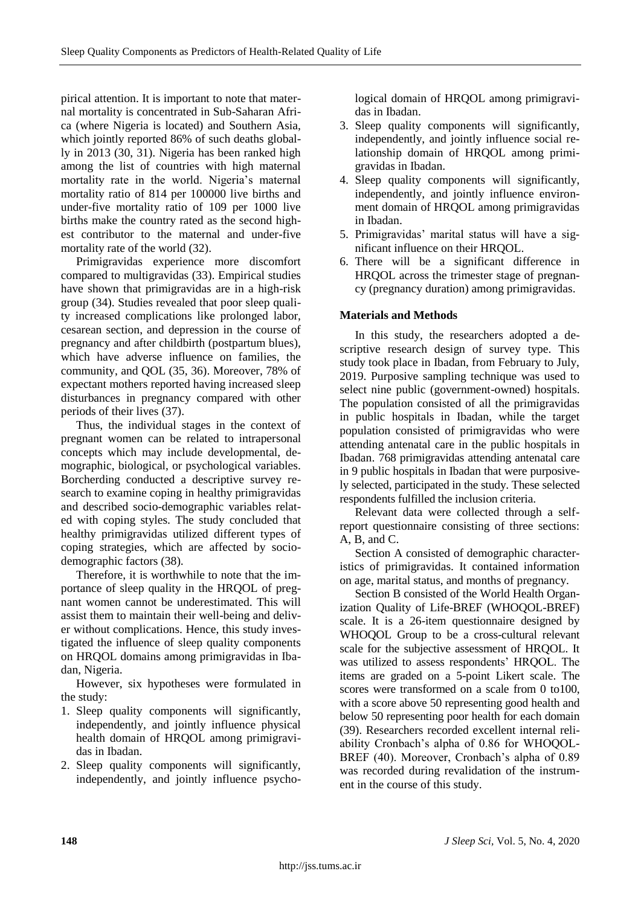pirical attention. It is important to note that maternal mortality is concentrated in Sub-Saharan Africa (where Nigeria is located) and Southern Asia, which jointly reported 86% of such deaths globally in 2013 (30, 31). Nigeria has been ranked high among the list of countries with high maternal mortality rate in the world. Nigeria's maternal mortality ratio of 814 per 100000 live births and under-five mortality ratio of 109 per 1000 live births make the country rated as the second highest contributor to the maternal and under-five mortality rate of the world (32).

Primigravidas experience more discomfort compared to multigravidas (33). Empirical studies have shown that primigravidas are in a high-risk group (34). Studies revealed that poor sleep quality increased complications like prolonged labor, cesarean section, and depression in the course of pregnancy and after childbirth (postpartum blues), which have adverse influence on families, the community, and QOL (35, 36). Moreover, 78% of expectant mothers reported having increased sleep disturbances in pregnancy compared with other periods of their lives (37).

Thus, the individual stages in the context of pregnant women can be related to intrapersonal concepts which may include developmental, demographic, biological, or psychological variables. Borcherding conducted a descriptive survey research to examine coping in healthy primigravidas and described socio-demographic variables related with coping styles. The study concluded that healthy primigravidas utilized different types of coping strategies, which are affected by sociodemographic factors (38).

Therefore, it is worthwhile to note that the importance of sleep quality in the HRQOL of pregnant women cannot be underestimated. This will assist them to maintain their well-being and deliver without complications. Hence, this study investigated the influence of sleep quality components on HRQOL domains among primigravidas in Ibadan, Nigeria.

However, six hypotheses were formulated in the study:

- 1. Sleep quality components will significantly, independently, and jointly influence physical health domain of HRQOL among primigravidas in Ibadan.
- 2. Sleep quality components will significantly, independently, and jointly influence psycho-

logical domain of HRQOL among primigravidas in Ibadan.

- 3. Sleep quality components will significantly, independently, and jointly influence social relationship domain of HRQOL among primigravidas in Ibadan.
- 4. Sleep quality components will significantly, independently, and jointly influence environment domain of HRQOL among primigravidas in Ibadan.
- 5. Primigravidas' marital status will have a significant influence on their HRQOL.
- 6. There will be a significant difference in HRQOL across the trimester stage of pregnancy (pregnancy duration) among primigravidas.

## **Materials and Methods**

In this study, the researchers adopted a descriptive research design of survey type. This study took place in Ibadan, from February to July, 2019. Purposive sampling technique was used to select nine public (government-owned) hospitals. The population consisted of all the primigravidas in public hospitals in Ibadan, while the target population consisted of primigravidas who were attending antenatal care in the public hospitals in Ibadan. 768 primigravidas attending antenatal care in 9 public hospitals in Ibadan that were purposively selected, participated in the study. These selected respondents fulfilled the inclusion criteria.

Relevant data were collected through a selfreport questionnaire consisting of three sections: A, B, and C.

Section A consisted of demographic characteristics of primigravidas. It contained information on age, marital status, and months of pregnancy.

Section B consisted of the World Health Organization Quality of Life-BREF (WHOQOL-BREF) scale. It is a 26-item questionnaire designed by WHOQOL Group to be a cross-cultural relevant scale for the subjective assessment of HRQOL. It was utilized to assess respondents' HRQOL. The items are graded on a 5-point Likert scale. The scores were transformed on a scale from 0 to100, with a score above 50 representing good health and below 50 representing poor health for each domain (39). Researchers recorded excellent internal reliability Cronbach's alpha of 0.86 for WHOQOL-BREF (40). Moreover, Cronbach's alpha of 0.89 was recorded during revalidation of the instrument in the course of this study.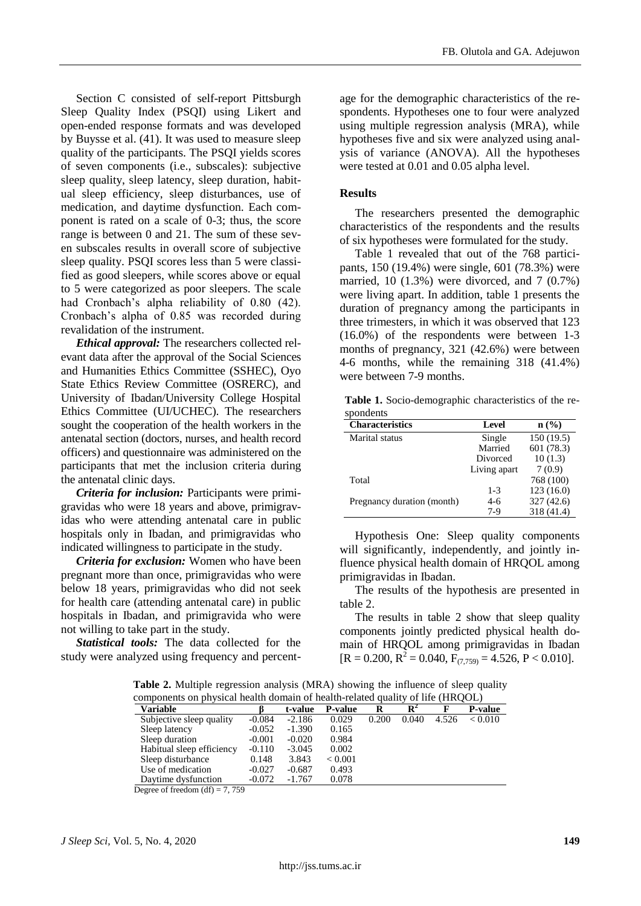Section C consisted of self-report Pittsburgh Sleep Quality Index (PSQI) using Likert and open-ended response formats and was developed by Buysse et al. (41). It was used to measure sleep quality of the participants. The PSQI yields scores of seven components (i.e., subscales): subjective sleep quality, sleep latency, sleep duration, habitual sleep efficiency, sleep disturbances, use of medication, and daytime dysfunction. Each component is rated on a scale of 0-3; thus, the score range is between 0 and 21. The sum of these seven subscales results in overall score of subjective sleep quality. PSQI scores less than 5 were classified as good sleepers, while scores above or equal to 5 were categorized as poor sleepers. The scale had Cronbach's alpha reliability of 0.80 (42). Cronbach's alpha of 0.85 was recorded during revalidation of the instrument.

*Ethical approval:* The researchers collected relevant data after the approval of the Social Sciences and Humanities Ethics Committee (SSHEC), Oyo State Ethics Review Committee (OSRERC), and University of Ibadan/University College Hospital Ethics Committee (UI/UCHEC). The researchers sought the cooperation of the health workers in the antenatal section (doctors, nurses, and health record officers) and questionnaire was administered on the participants that met the inclusion criteria during the antenatal clinic days.

*Criteria for inclusion:* Participants were primigravidas who were 18 years and above, primigravidas who were attending antenatal care in public hospitals only in Ibadan, and primigravidas who indicated willingness to participate in the study.

*Criteria for exclusion:* Women who have been pregnant more than once, primigravidas who were below 18 years, primigravidas who did not seek for health care (attending antenatal care) in public hospitals in Ibadan, and primigravida who were not willing to take part in the study.

*Statistical tools:* The data collected for the study were analyzed using frequency and percentage for the demographic characteristics of the respondents. Hypotheses one to four were analyzed using multiple regression analysis (MRA), while hypotheses five and six were analyzed using analysis of variance (ANOVA). All the hypotheses were tested at 0.01 and 0.05 alpha level.

### **Results**

The researchers presented the demographic characteristics of the respondents and the results of six hypotheses were formulated for the study.

Table 1 revealed that out of the 768 participants, 150 (19.4%) were single, 601 (78.3%) were married, 10 (1.3%) were divorced, and 7 (0.7%) were living apart. In addition, table 1 presents the duration of pregnancy among the participants in three trimesters, in which it was observed that 123 (16.0%) of the respondents were between 1-3 months of pregnancy, 321 (42.6%) were between 4-6 months, while the remaining 318 (41.4%) were between 7-9 months.

**Table 1.** Socio-demographic characteristics of the respondents

| <b>Characteristics</b>     | Level        | $n\left(\frac{0}{0}\right)$ |
|----------------------------|--------------|-----------------------------|
| Marital status             | Single       | 150(19.5)                   |
|                            | Married      | 601 (78.3)                  |
|                            | Divorced     | 10(1.3)                     |
|                            | Living apart | 7(0.9)                      |
| Total                      |              | 768 (100)                   |
|                            | $1 - 3$      | 123(16.0)                   |
| Pregnancy duration (month) | $4-6$        | 327(42.6)                   |
|                            | $7-9$        | 318 (41.4)                  |

Hypothesis One: Sleep quality components will significantly, independently, and jointly influence physical health domain of HRQOL among primigravidas in Ibadan.

The results of the hypothesis are presented in table 2.

The results in table 2 show that sleep quality components jointly predicted physical health domain of HRQOL among primigravidas in Ibadan  $[R = 0.200, R^2 = 0.040, F_{(7,759)} = 4.526, P < 0.010].$ 

| <b>Variable</b>           |          | t-value  | <b>P-value</b> | R     | $\mathbf{R}^2$ |       | <b>P-value</b> |
|---------------------------|----------|----------|----------------|-------|----------------|-------|----------------|
| Subjective sleep quality  | $-0.084$ | $-2.186$ | 0.029          | 0.200 | 0.040          | 4.526 | < 0.010        |
| Sleep latency             | $-0.052$ | $-1.390$ | 0.165          |       |                |       |                |
| Sleep duration            | $-0.001$ | $-0.020$ | 0.984          |       |                |       |                |
| Habitual sleep efficiency | $-0.110$ | $-3.045$ | 0.002          |       |                |       |                |
| Sleep disturbance         | 0.148    | 3.843    | ${}_{< 0.001}$ |       |                |       |                |
| Use of medication         | $-0.027$ | $-0.687$ | 0.493          |       |                |       |                |
| Daytime dysfunction       | $-0.072$ | $-1.767$ | 0.078          |       |                |       |                |

**Table 2.** Multiple regression analysis (MRA) showing the influence of sleep quality components on physical health domain of health-related quality of life (HROOL)

Degree of freedom  $(df) = 7, 759$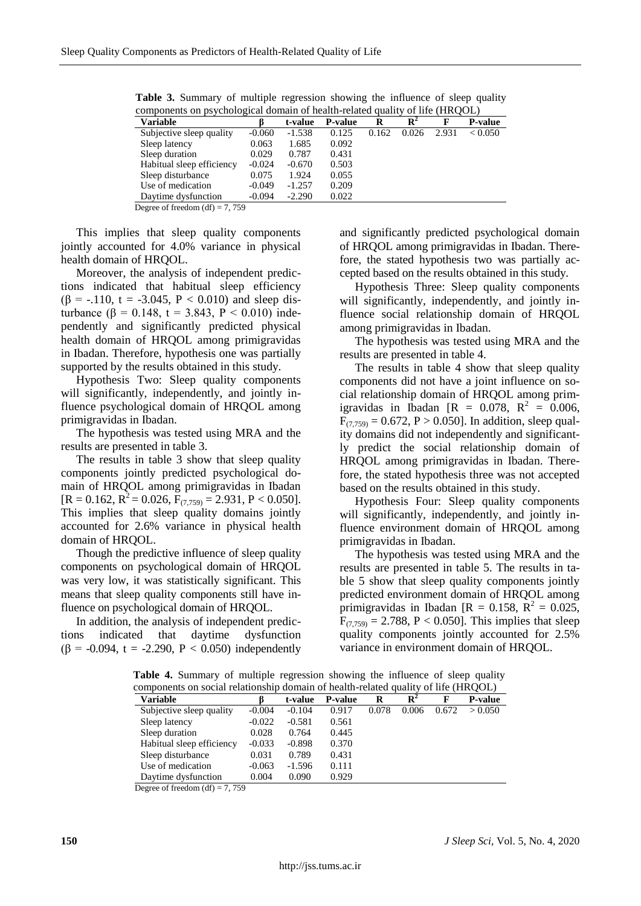| components on psychological comain of health related quality<br>$\mathbf{v}$ . $\mathbf{v}$<br>,…… |          |          |                |       |                |       |                |
|----------------------------------------------------------------------------------------------------|----------|----------|----------------|-------|----------------|-------|----------------|
| <b>Variable</b>                                                                                    |          | t-value  | <b>P-value</b> | R     | $\mathbf{R}^2$ | F     | <b>P-value</b> |
| Subjective sleep quality                                                                           | $-0.060$ | $-1.538$ | 0.125          | 0.162 | 0.026          | 2.931 | < 0.050        |
| Sleep latency                                                                                      | 0.063    | 1.685    | 0.092          |       |                |       |                |
| Sleep duration                                                                                     | 0.029    | 0.787    | 0.431          |       |                |       |                |
| Habitual sleep efficiency                                                                          | $-0.024$ | $-0.670$ | 0.503          |       |                |       |                |
| Sleep disturbance                                                                                  | 0.075    | 1.924    | 0.055          |       |                |       |                |
| Use of medication                                                                                  | $-0.049$ | $-1.257$ | 0.209          |       |                |       |                |
| Daytime dysfunction                                                                                | $-0.094$ | $-2.290$ | 0.022          |       |                |       |                |
|                                                                                                    |          |          |                |       |                |       |                |

**Table 3.** Summary of multiple regression showing the influence of sleep quality components on psychological domain of health-related quality of life (HRQOL)

Degree of freedom  $(df) = 7, 759$ 

This implies that sleep quality components jointly accounted for 4.0% variance in physical health domain of HRQOL.

Moreover, the analysis of independent predictions indicated that habitual sleep efficiency ( $\beta$  = -.110, t = -3.045, P < 0.010) and sleep disturbance (β = 0.148, t = 3.843, P < 0.010) independently and significantly predicted physical health domain of HRQOL among primigravidas in Ibadan. Therefore, hypothesis one was partially supported by the results obtained in this study.

Hypothesis Two: Sleep quality components will significantly, independently, and jointly influence psychological domain of HRQOL among primigravidas in Ibadan.

The hypothesis was tested using MRA and the results are presented in table 3.

The results in table 3 show that sleep quality components jointly predicted psychological domain of HRQOL among primigravidas in Ibadan  $[R = 0.162, R^2 = 0.026, F_{(7,759)} = 2.931, P < 0.050].$ This implies that sleep quality domains jointly accounted for 2.6% variance in physical health domain of HRQOL.

Though the predictive influence of sleep quality components on psychological domain of HRQOL was very low, it was statistically significant. This means that sleep quality components still have influence on psychological domain of HRQOL.

In addition, the analysis of independent predictions indicated that daytime dysfunction ( $\beta$  = -0.094, t = -2.290, P < 0.050) independently and significantly predicted psychological domain of HRQOL among primigravidas in Ibadan. Therefore, the stated hypothesis two was partially accepted based on the results obtained in this study.

Hypothesis Three: Sleep quality components will significantly, independently, and jointly influence social relationship domain of HRQOL among primigravidas in Ibadan.

The hypothesis was tested using MRA and the results are presented in table 4.

The results in table 4 show that sleep quality components did not have a joint influence on social relationship domain of HRQOL among primigravidas in Ibadan [R = 0.078,  $R^2 = 0.006$ ,  $F_{(7,759)} = 0.672$ ,  $P > 0.050$ . In addition, sleep quality domains did not independently and significantly predict the social relationship domain of HRQOL among primigravidas in Ibadan. Therefore, the stated hypothesis three was not accepted based on the results obtained in this study.

Hypothesis Four: Sleep quality components will significantly, independently, and jointly influence environment domain of HRQOL among primigravidas in Ibadan.

The hypothesis was tested using MRA and the results are presented in table 5. The results in table 5 show that sleep quality components jointly predicted environment domain of HRQOL among primigravidas in Ibadan [R = 0.158,  $R^2 = 0.025$ ,  $F_{(7,759)} = 2.788$ , P < 0.050]. This implies that sleep quality components jointly accounted for 2.5% variance in environment domain of HRQOL.

Table 4. Summary of multiple regression showing the influence of sleep quality components on social relationship domain of health-related quality of life (HROOL)

| components on social relationship aoniam or health related quality or me (rirected) |          |          |                |       |                |       |                |
|-------------------------------------------------------------------------------------|----------|----------|----------------|-------|----------------|-------|----------------|
| <b>Variable</b>                                                                     |          | t-value  | <b>P-value</b> | R     | $\mathbf{R}^2$ |       | <b>P-value</b> |
| Subjective sleep quality                                                            | $-0.004$ | $-0.104$ | 0.917          | 0.078 | 0.006          | 0.672 | > 0.050        |
| Sleep latency                                                                       | $-0.022$ | $-0.581$ | 0.561          |       |                |       |                |
| Sleep duration                                                                      | 0.028    | 0.764    | 0.445          |       |                |       |                |
| Habitual sleep efficiency                                                           | $-0.033$ | $-0.898$ | 0.370          |       |                |       |                |
| Sleep disturbance                                                                   | 0.031    | 0.789    | 0.431          |       |                |       |                |
| Use of medication                                                                   | $-0.063$ | $-1.596$ | 0.111          |       |                |       |                |
| Daytime dysfunction                                                                 | 0.004    | 0.090    | 0.929          |       |                |       |                |
|                                                                                     |          |          |                |       |                |       |                |

Degree of freedom  $(df) = 7, 759$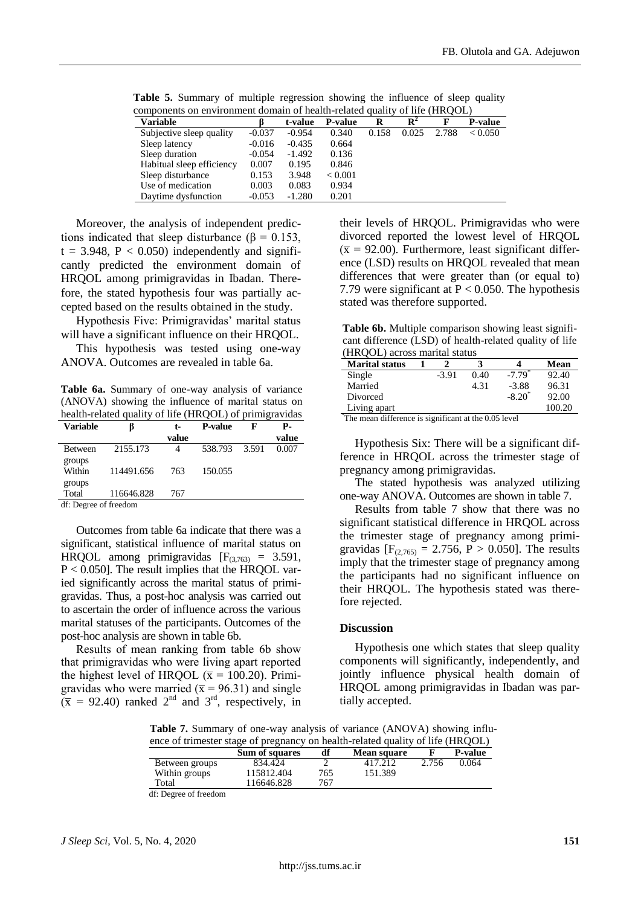| components on environment domain of nealth-related quality of life (HROOL) |          |          |                |       |                |       |                |
|----------------------------------------------------------------------------|----------|----------|----------------|-------|----------------|-------|----------------|
| <b>Variable</b>                                                            |          | t-value  | <b>P-value</b> | R     | $\mathbf{R}^2$ | F     | <b>P-value</b> |
| Subjective sleep quality                                                   | $-0.037$ | $-0.954$ | 0.340          | 0.158 | 0.025          | 2.788 | < 0.050        |
| Sleep latency                                                              | $-0.016$ | $-0.435$ | 0.664          |       |                |       |                |
| Sleep duration                                                             | $-0.054$ | $-1.492$ | 0.136          |       |                |       |                |
| Habitual sleep efficiency                                                  | 0.007    | 0.195    | 0.846          |       |                |       |                |
| Sleep disturbance                                                          | 0.153    | 3.948    | < 0.001        |       |                |       |                |
| Use of medication                                                          | 0.003    | 0.083    | 0.934          |       |                |       |                |
| Daytime dysfunction                                                        | $-0.053$ | $-1.280$ | 0.201          |       |                |       |                |

**Table 5.** Summary of multiple regression showing the influence of sleep quality components on onvironment domain of boolth related quality of life (HPOOL) of health-related quality of life (HRQO)

Moreover, the analysis of independent predictions indicated that sleep disturbance ( $\beta = 0.153$ ,  $t = 3.948$ ,  $P < 0.050$ ) independently and significantly predicted the environment domain of HRQOL among primigravidas in Ibadan. Therefore, the stated hypothesis four was partially accepted based on the results obtained in the study.

Hypothesis Five: Primigravidas' marital status will have a significant influence on their HRQOL.

This hypothesis was tested using one-way ANOVA. Outcomes are revealed in table 6a.

**Table 6a.** Summary of one-way analysis of variance (ANOVA) showing the influence of marital status on health-related quality of life (HRQOL) of primigravidas

| Variable              | ß          | t-    | <b>P-value</b> | F     | Р.    |
|-----------------------|------------|-------|----------------|-------|-------|
|                       |            | value |                |       | value |
| <b>Between</b>        | 2155.173   | 4     | 538.793        | 3.591 | 0.007 |
| groups                |            |       |                |       |       |
| Within                | 114491.656 | 763   | 150.055        |       |       |
| groups                |            |       |                |       |       |
| Total                 | 116646.828 | 767   |                |       |       |
| df: Degree of freedom |            |       |                |       |       |

Outcomes from table 6a indicate that there was a significant, statistical influence of marital status on HRQOL among primigravidas  $[F<sub>(3,763)</sub>] = 3.591$ , P < 0.050]. The result implies that the HRQOL varied significantly across the marital status of primigravidas. Thus, a post-hoc analysis was carried out to ascertain the order of influence across the various marital statuses of the participants. Outcomes of the post-hoc analysis are shown in table 6b.

Results of mean ranking from table 6b show that primigravidas who were living apart reported the highest level of HRQOL ( $\bar{x}$  = 100.20). Primigravidas who were married ( $\bar{x}$  = 96.31) and single  $(\bar{x}$  = 92.40) ranked 2<sup>nd</sup> and 3<sup>rd</sup>, respectively, in their levels of HRQOL. Primigravidas who were divorced reported the lowest level of HRQOL  $(\bar{x} = 92.00)$ . Furthermore, least significant difference (LSD) results on HRQOL revealed that mean differences that were greater than (or equal to) 7.79 were significant at  $P < 0.050$ . The hypothesis stated was therefore supported.

**Table 6b.** Multiple comparison showing least significant difference (LSD) of health-related quality of life (HRQOL) across marital status

| <b>Marital status</b> |         |                             |             | Mean   |
|-----------------------|---------|-----------------------------|-------------|--------|
| Single                | $-3.91$ | 0.40                        | $-7.79^{*}$ | 92.40  |
| Married               |         | 4.31                        | $-3.88$     | 96.31  |
| Divorced              |         |                             | $-8.20*$    | 92.00  |
| Living apart          |         |                             |             | 100.20 |
| $\cdots$<br>$-$       | $\sim$  | $\sim$ $\sim$ $\sim$ $\sim$ |             |        |

\* The mean difference is significant at the 0.05 level

Hypothesis Six: There will be a significant difference in HRQOL across the trimester stage of pregnancy among primigravidas.

The stated hypothesis was analyzed utilizing one-way ANOVA. Outcomes are shown in table 7.

Results from table 7 show that there was no significant statistical difference in HRQOL across the trimester stage of pregnancy among primigravidas  $[F_{(2,765)} = 2.756, P > 0.050]$ . The results imply that the trimester stage of pregnancy among the participants had no significant influence on their HRQOL. The hypothesis stated was therefore rejected.

#### **Discussion**

Hypothesis one which states that sleep quality components will significantly, independently, and jointly influence physical health domain of HRQOL among primigravidas in Ibadan was partially accepted.

**Table 7.** Summary of one-way analysis of variance (ANOVA) showing influence of trimester stage of pregnancy on health-related quality of life (HRQOL)

|                | Sum of squares | df  | <b>Mean square</b> |       | <b>P-value</b> |
|----------------|----------------|-----|--------------------|-------|----------------|
| Between groups | 834.424        |     | 417.212            | 2.756 | 0.064          |
| Within groups  | 115812.404     | 765 | 151.389            |       |                |
| Total          | 116646.828     | 767 |                    |       |                |
| $ -$           |                |     |                    |       |                |

df: Degree of freedom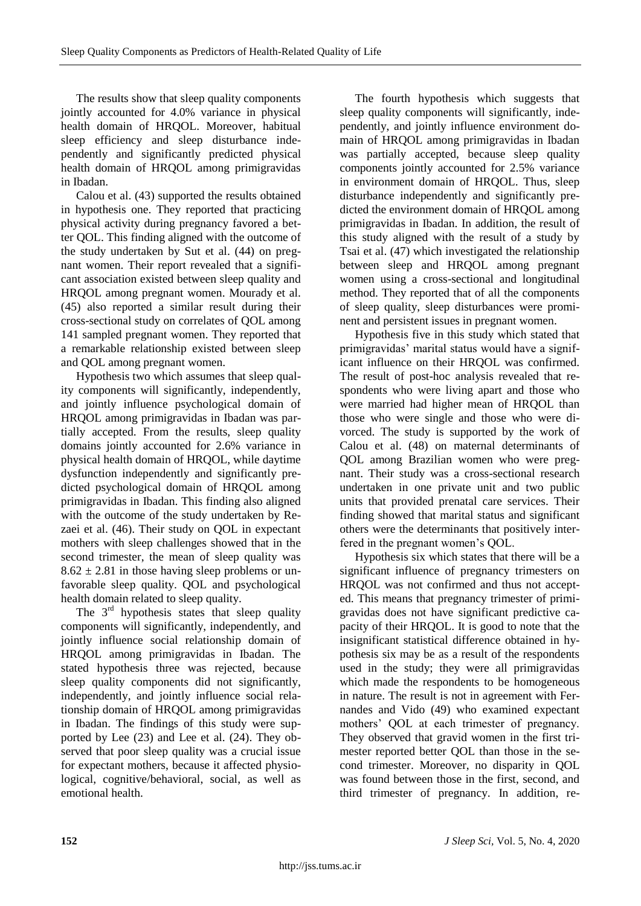The results show that sleep quality components jointly accounted for 4.0% variance in physical health domain of HRQOL. Moreover, habitual sleep efficiency and sleep disturbance independently and significantly predicted physical health domain of HRQOL among primigravidas in Ibadan.

Calou et al. (43) supported the results obtained in hypothesis one. They reported that practicing physical activity during pregnancy favored a better QOL. This finding aligned with the outcome of the study undertaken by Sut et al. (44) on pregnant women. Their report revealed that a significant association existed between sleep quality and HRQOL among pregnant women. Mourady et al. (45) also reported a similar result during their cross-sectional study on correlates of QOL among 141 sampled pregnant women. They reported that a remarkable relationship existed between sleep and QOL among pregnant women.

Hypothesis two which assumes that sleep quality components will significantly, independently, and jointly influence psychological domain of HRQOL among primigravidas in Ibadan was partially accepted. From the results, sleep quality domains jointly accounted for 2.6% variance in physical health domain of HRQOL, while daytime dysfunction independently and significantly predicted psychological domain of HRQOL among primigravidas in Ibadan. This finding also aligned with the outcome of the study undertaken by Rezaei et al. (46). Their study on QOL in expectant mothers with sleep challenges showed that in the second trimester, the mean of sleep quality was  $8.62 \pm 2.81$  in those having sleep problems or unfavorable sleep quality. QOL and psychological health domain related to sleep quality.

The  $3<sup>rd</sup>$  hypothesis states that sleep quality components will significantly, independently, and jointly influence social relationship domain of HRQOL among primigravidas in Ibadan. The stated hypothesis three was rejected, because sleep quality components did not significantly, independently, and jointly influence social relationship domain of HRQOL among primigravidas in Ibadan. The findings of this study were supported by Lee (23) and Lee et al. (24). They observed that poor sleep quality was a crucial issue for expectant mothers, because it affected physiological, cognitive/behavioral, social, as well as emotional health.

The fourth hypothesis which suggests that sleep quality components will significantly, independently, and jointly influence environment domain of HRQOL among primigravidas in Ibadan was partially accepted, because sleep quality components jointly accounted for 2.5% variance in environment domain of HRQOL. Thus, sleep disturbance independently and significantly predicted the environment domain of HRQOL among primigravidas in Ibadan. In addition, the result of this study aligned with the result of a study by Tsai et al. (47) which investigated the relationship between sleep and HRQOL among pregnant women using a cross-sectional and longitudinal method. They reported that of all the components of sleep quality, sleep disturbances were prominent and persistent issues in pregnant women.

Hypothesis five in this study which stated that primigravidas' marital status would have a significant influence on their HRQOL was confirmed. The result of post-hoc analysis revealed that respondents who were living apart and those who were married had higher mean of HRQOL than those who were single and those who were divorced. The study is supported by the work of Calou et al. (48) on maternal determinants of QOL among Brazilian women who were pregnant. Their study was a cross-sectional research undertaken in one private unit and two public units that provided prenatal care services. Their finding showed that marital status and significant others were the determinants that positively interfered in the pregnant women's QOL.

Hypothesis six which states that there will be a significant influence of pregnancy trimesters on HRQOL was not confirmed and thus not accepted. This means that pregnancy trimester of primigravidas does not have significant predictive capacity of their HRQOL. It is good to note that the insignificant statistical difference obtained in hypothesis six may be as a result of the respondents used in the study; they were all primigravidas which made the respondents to be homogeneous in nature. The result is not in agreement with Fernandes and Vido (49) who examined expectant mothers' QOL at each trimester of pregnancy. They observed that gravid women in the first trimester reported better QOL than those in the second trimester. Moreover, no disparity in QOL was found between those in the first, second, and third trimester of pregnancy. In addition, re-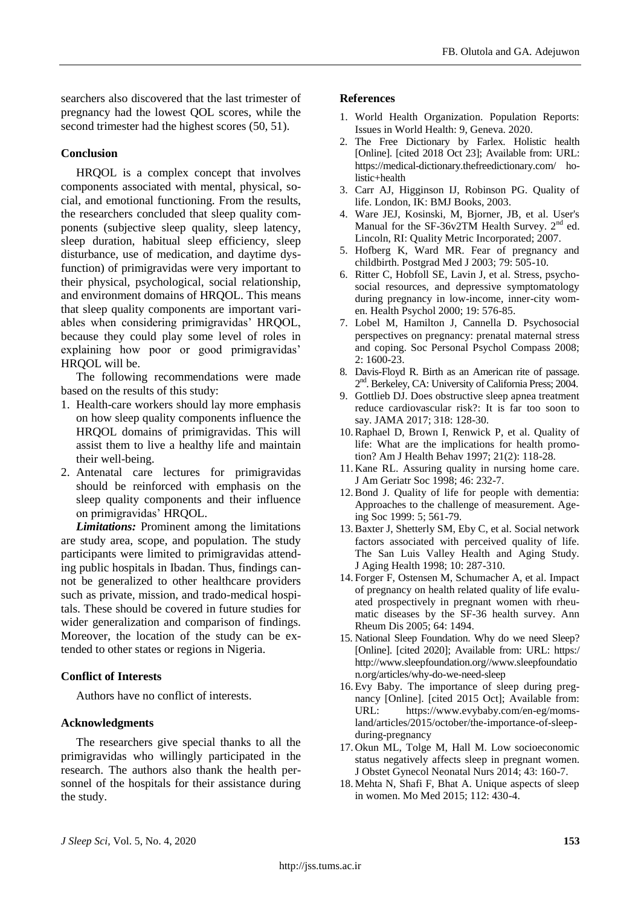searchers also discovered that the last trimester of pregnancy had the lowest QOL scores, while the second trimester had the highest scores (50, 51).

## **Conclusion**

HRQOL is a complex concept that involves components associated with mental, physical, social, and emotional functioning. From the results, the researchers concluded that sleep quality components (subjective sleep quality, sleep latency, sleep duration, habitual sleep efficiency, sleep disturbance, use of medication, and daytime dysfunction) of primigravidas were very important to their physical, psychological, social relationship, and environment domains of HRQOL. This means that sleep quality components are important variables when considering primigravidas' HRQOL, because they could play some level of roles in explaining how poor or good primigravidas' HRQOL will be.

The following recommendations were made based on the results of this study:

- 1. Health-care workers should lay more emphasis on how sleep quality components influence the HRQOL domains of primigravidas. This will assist them to live a healthy life and maintain their well-being.
- 2. Antenatal care lectures for primigravidas should be reinforced with emphasis on the sleep quality components and their influence on primigravidas' HRQOL.

*Limitations:* Prominent among the limitations are study area, scope, and population. The study participants were limited to primigravidas attending public hospitals in Ibadan. Thus, findings cannot be generalized to other healthcare providers such as private, mission, and trado-medical hospitals. These should be covered in future studies for wider generalization and comparison of findings. Moreover, the location of the study can be extended to other states or regions in Nigeria.

### **Conflict of Interests**

Authors have no conflict of interests.

### **Acknowledgments**

The researchers give special thanks to all the primigravidas who willingly participated in the research. The authors also thank the health personnel of the hospitals for their assistance during the study.

### **References**

- 1. World Health Organization. Population Reports: Issues in World Health: 9, Geneva. 2020.
- 2. The Free Dictionary by Farlex. Holistic health [Online]. [cited 2018 Oct 23]; Available from: URL: https://medical-dictionary.thefreedictionary.com/ holistic+health
- 3. Carr AJ, Higginson IJ, Robinson PG. Quality of life. London, IK: BMJ Books, 2003.
- 4. Ware JEJ, Kosinski, M, Bjorner, JB, et al. User's Manual for the SF-36v2TM Health Survey.  $2<sup>nd</sup>$  ed. Lincoln, RI: Quality Metric Incorporated; 2007.
- 5. Hofberg K, Ward MR. Fear of pregnancy and childbirth. Postgrad Med J 2003; 79: 505-10.
- 6. Ritter C, Hobfoll SE, Lavin J, et al. Stress, psychosocial resources, and depressive symptomatology during pregnancy in low-income, inner-city women. Health Psychol 2000; 19: 576-85.
- 7. Lobel M, Hamilton J, Cannella D. Psychosocial perspectives on pregnancy: prenatal maternal stress and coping. Soc Personal Psychol Compass 2008; 2: 1600-23.
- 8. Davis-Floyd R. Birth as an American rite of passage. 2<sup>nd</sup>. Berkeley, CA: University of California Press; 2004.
- 9. Gottlieb DJ. Does obstructive sleep apnea treatment reduce cardiovascular risk?: It is far too soon to say. JAMA 2017; 318: 128-30.
- 10.Raphael D, Brown I, Renwick P, et al. Quality of life: What are the implications for health promotion? Am J Health Behav 1997; 21(2): 118-28.
- 11. Kane RL. Assuring quality in nursing home care. J Am Geriatr Soc 1998; 46: 232-7.
- 12.Bond J. Quality of life for people with dementia: Approaches to the challenge of measurement. Ageing Soc 1999: 5; 561-79.
- 13.Baxter J, Shetterly SM, Eby C, et al. Social network factors associated with perceived quality of life. The San Luis Valley Health and Aging Study. J Aging Health 1998; 10: 287-310.
- 14. Forger F, Ostensen M, Schumacher A, et al. Impact of pregnancy on health related quality of life evaluated prospectively in pregnant women with rheumatic diseases by the SF-36 health survey. Ann Rheum Dis 2005; 64: 1494.
- 15. National Sleep Foundation. Why do we need Sleep? [Online]. [cited 2020]; Available from: URL: https:/ http://www.sleepfoundation.org//www.sleepfoundatio n.org/articles/why-do-we-need-sleep
- 16. Evy Baby. The importance of sleep during pregnancy [Online]. [cited 2015 Oct]; Available from: URL: https://www.evybaby.com/en-eg/momsland/articles/2015/october/the-importance-of-sleepduring-pregnancy
- 17. Okun ML, Tolge M, Hall M. Low socioeconomic status negatively affects sleep in pregnant women. J Obstet Gynecol Neonatal Nurs 2014; 43: 160-7.
- 18. Mehta N, Shafi F, Bhat A. Unique aspects of sleep in women. Mo Med 2015; 112: 430-4.